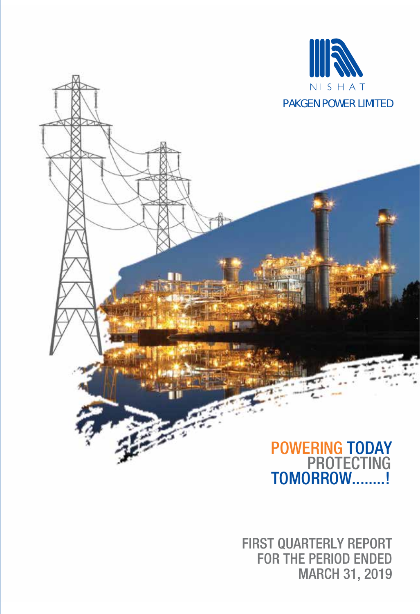

## PROTECTING POWERING TODAY TOMORROW........!

FIRST QUARTERLY REPORT FOR THE PERIOD ENDED MARCH 31, 2019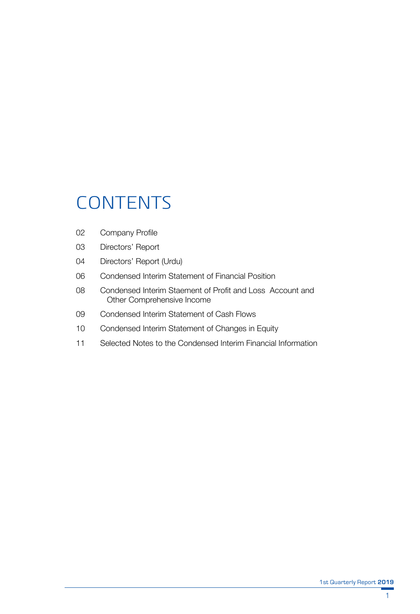# **CONTENTS**

- 02 Company Profile
- 03 Directors' Report
- 04 Directors' Report (Urdu)
- 06 Condensed Interim Statement of Financial Position
- 08 Condensed Interim Staement of Profit and Loss Account and Other Comprehensive Income
- 09 Condensed Interim Statement of Cash Flows
- 10 Condensed Interim Statement of Changes in Equity
- 11 Selected Notes to the Condensed Interim Financial Information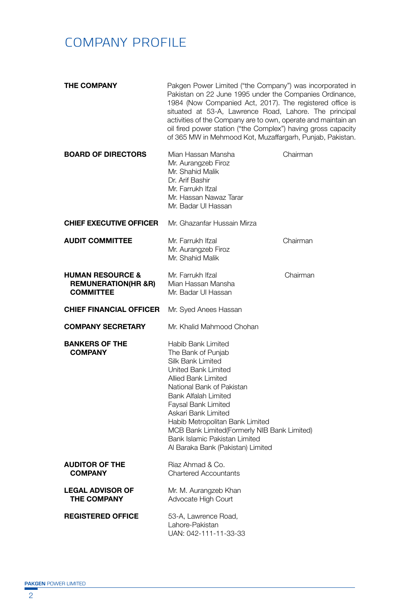## COMPANY PROFILE

| <b>THE COMPANY</b>                                                                | Pakgen Power Limited ("the Company") was incorporated in<br>Pakistan on 22 June 1995 under the Companies Ordinance,<br>1984 (Now Companied Act, 2017). The registered office is<br>situated at 53-A, Lawrence Road, Lahore. The principal<br>activities of the Company are to own, operate and maintain an<br>oil fired power station ("the Complex") having gross capacity<br>of 365 MW in Mehmood Kot, Muzaffargarh, Punjab, Pakistan. |          |
|-----------------------------------------------------------------------------------|------------------------------------------------------------------------------------------------------------------------------------------------------------------------------------------------------------------------------------------------------------------------------------------------------------------------------------------------------------------------------------------------------------------------------------------|----------|
| <b>BOARD OF DIRECTORS</b>                                                         | Mian Hassan Mansha<br>Mr. Aurangzeb Firoz<br>Mr. Shahid Malik<br>Dr. Arif Bashir<br>Mr. Farrukh Ifzal<br>Mr. Hassan Nawaz Tarar<br>Mr. Badar UI Hassan                                                                                                                                                                                                                                                                                   | Chairman |
| <b>CHIEF EXECUTIVE OFFICER</b>                                                    | Mr. Ghazanfar Hussain Mirza                                                                                                                                                                                                                                                                                                                                                                                                              |          |
| <b>AUDIT COMMITTEE</b>                                                            | Mr. Farrukh Ifzal<br>Mr. Aurangzeb Firoz<br>Mr. Shahid Malik                                                                                                                                                                                                                                                                                                                                                                             | Chairman |
| <b>HUMAN RESOURCE &amp;</b><br><b>REMUNERATION(HR &amp;R)</b><br><b>COMMITTEE</b> | Mr. Farrukh Ifzal<br>Mian Hassan Mansha<br>Mr. Badar UI Hassan                                                                                                                                                                                                                                                                                                                                                                           | Chairman |
| <b>CHIEF FINANCIAL OFFICER</b>                                                    | Mr. Syed Anees Hassan                                                                                                                                                                                                                                                                                                                                                                                                                    |          |
| <b>COMPANY SECRETARY</b>                                                          | Mr. Khalid Mahmood Chohan                                                                                                                                                                                                                                                                                                                                                                                                                |          |
| <b>BANKERS OF THE</b><br><b>COMPANY</b>                                           | Habib Bank Limited<br>The Bank of Punjab<br>Silk Bank Limited<br>United Bank Limited<br>Allied Bank Limited<br>National Bank of Pakistan<br>Bank Alfalah Limited<br>Faysal Bank Limited<br>Askari Bank Limited<br>Habib Metropolitan Bank Limited<br>MCB Bank Limited(Formerly NIB Bank Limited)<br>Bank Islamic Pakistan Limited<br>Al Baraka Bank (Pakistan) Limited                                                                   |          |
| <b>AUDITOR OF THE</b><br><b>COMPANY</b>                                           | Riaz Ahmad & Co.<br><b>Chartered Accountants</b>                                                                                                                                                                                                                                                                                                                                                                                         |          |
| <b>LEGAL ADVISOR OF</b><br><b>THE COMPANY</b>                                     | Mr. M. Aurangzeb Khan<br>Advocate High Court                                                                                                                                                                                                                                                                                                                                                                                             |          |
| <b>REGISTERED OFFICE</b>                                                          | 53-A, Lawrence Road,<br>Lahore-Pakistan<br>UAN: 042-111-11-33-33                                                                                                                                                                                                                                                                                                                                                                         |          |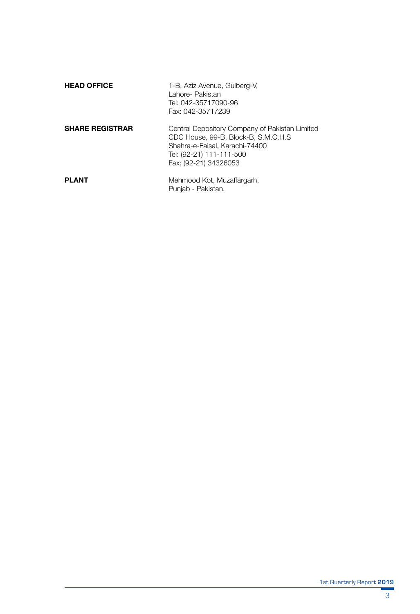| <b>HEAD OFFICE</b>     | 1-B, Aziz Avenue, Gulberg-V,<br>Lahore- Pakistan<br>Tel: 042-35717090-96<br>Fax: 042-35717239                                                                                 |
|------------------------|-------------------------------------------------------------------------------------------------------------------------------------------------------------------------------|
| <b>SHARE REGISTRAR</b> | Central Depository Company of Pakistan Limited<br>CDC House, 99-B. Block-B. S.M.C.H.S.<br>Shahra-e-Faisal, Karachi-74400<br>Tel: (92-21) 111-111-500<br>Fax: (92-21) 34326053 |
| <b>PLANT</b>           | Mehmood Kot, Muzaffargarh,<br>Punjab - Pakistan.                                                                                                                              |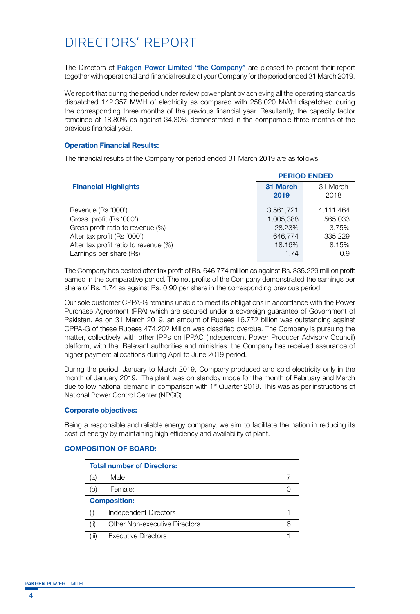## DIRECTORS' REPORT

The Directors of Pakgen Power Limited "the Company" are pleased to present their report together with operational and financial results of your Company for the period ended 31 March 2019.

We report that during the period under review power plant by achieving all the operating standards dispatched 142.357 MWH of electricity as compared with 258.020 MWH dispatched during the corresponding three months of the previous financial year. Resultantly, the capacity factor remained at 18.80% as against 34.30% demonstrated in the comparable three months of the previous financial year.

#### **Operation Financial Results:**

The financial results of the Company for period ended 31 March 2019 are as follows:

|                                       |           | <b>PERIOD ENDED</b> |
|---------------------------------------|-----------|---------------------|
| <b>Financial Highlights</b>           | 31 March  | 31 March            |
|                                       | 2019      | 2018                |
| Revenue (Rs '000')                    | 3,561,721 | 4.111.464           |
| Gross profit (Rs '000')               | 1.005.388 | 565.033             |
| Gross profit ratio to revenue (%)     | 28.23%    | 13.75%              |
| After tax profit (Rs '000')           | 646,774   | 335,229             |
| After tax profit ratio to revenue (%) | 18.16%    | 8.15%               |
| Earnings per share (Rs)               | 1.74      | 0.9                 |

The Company has posted after tax profit of Rs. 646.774 million as against Rs. 335.229 million profit earned in the comparative period. The net profits of the Company demonstrated the earnings per share of Rs. 1.74 as against Rs. 0.90 per share in the corresponding previous period.

Our sole customer CPPA-G remains unable to meet its obligations in accordance with the Power Purchase Agreement (PPA) which are secured under a sovereign guarantee of Government of Pakistan. As on 31 March 2019, an amount of Rupees 16.772 billion was outstanding against CPPA-G of these Rupees 474.202 Million was classified overdue. The Company is pursuing the matter, collectively with other IPPs on IPPAC (Independent Power Producer Advisory Council) platform, with the Relevant authorities and ministries. the Company has received assurance of higher payment allocations during April to June 2019 period.

During the period, January to March 2019, Company produced and sold electricity only in the month of January 2019. The plant was on standby mode for the month of February and March due to low national demand in comparison with  $1<sup>st</sup>$  Quarter 2018. This was as per instructions of National Power Control Center (NPCC).

#### **Corporate objectives:**

Being a responsible and reliable energy company, we aim to facilitate the nation in reducing its cost of energy by maintaining high efficiency and availability of plant.

### **Total number of Directors:** (a) Male 7 (b) Female: 0 **Composition:** (i) Independent Directors 1 1 (ii) Other Non-executive Directors 6 (iii) Executive Directors 1 1

#### **COMPOSITION OF BOARD:**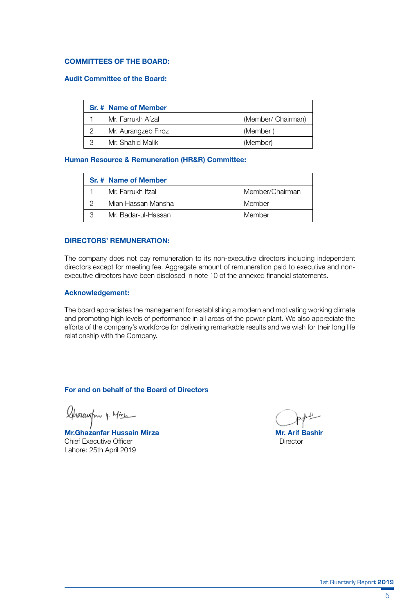#### **COMMITTEES OF THE BOARD:**

#### **Audit Committee of the Board:**

|   | Sr. # Name of Member |                    |
|---|----------------------|--------------------|
|   | Mr. Farrukh Afzal    | (Member/ Chairman) |
|   | Mr. Aurangzeb Firoz  | (Member)           |
| З | Mr. Shahid Malik     | (Member)           |

#### **Human Resource & Remuneration (HR&R) Committee:**

| Sr. # Name of Member |                 |
|----------------------|-----------------|
| Mr. Farrukh Ifzal    | Member/Chairman |
| Mian Hassan Mansha   | Member          |
| Mr. Badar-ul-Hassan  | Member          |

#### **DIRECTORS' REMUNERATION:**

The company does not pay remuneration to its non-executive directors including independent directors except for meeting fee. Aggregate amount of remuneration paid to executive and nonexecutive directors have been disclosed in note 10 of the annexed financial statements.

#### **Acknowledgement:**

The board appreciates the management for establishing a modern and motivating working climate and promoting high levels of performance in all areas of the power plant. We also appreciate the efforts of the company's workforce for delivering remarkable results and we wish for their long life relationship with the Company.

#### **For and on behalf of the Board of Directors**

Charcuston 4. Mire

**Mr.Ghazanfar Hussain Mirza Mr.Ghazanfar Hussain Mirza Mr. Arif Bashir**<br>Chief Executive Officer Chief Executive Officer Lahore: 25th April 2019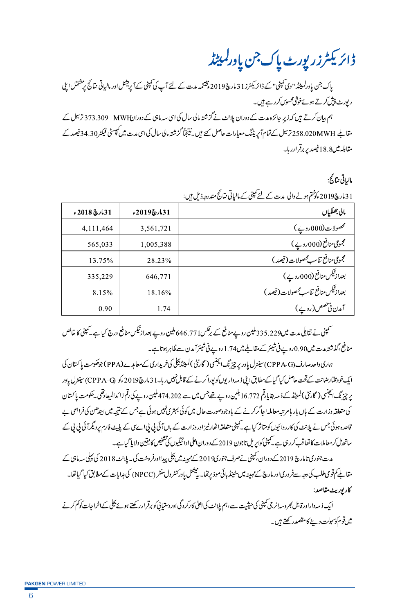ڈائریکٹرزر پورٹ پاک جن یاورلمپٹڈ

یاک جن یادرلمیٹڈ "دی کمپنی" کے ڈائریکٹرز 113مارچ2019 پختتیہ مدت کے لئے آپ کی کمپنی کے آپریشنل اور مالیاتی نتائج پرمشتمل اپنی ر بورٹ پیش کرتے ہوئےخوشی محسوس کررہے ہیں۔

ہم بیان کرتے ہیں کہ زیر جائزہ مدت کے دوران پلانٹ نے گزشتہ مالی سال کی اسی سہ ماہی کے دورالHWH ۔ 373.309 ترسیل ک مقاطے 258.020MWH کے تمام اپریڈنگ معیارات حاصل کئے ہیں۔نینجناً گزشتہ مالی سال کی اسی مدت میں کپیسٹی فیکٹر34.30فیصد کے مقابله میں18.8فیصد پر برقرارر ہا۔

مالياتي نتائج:

| ------<br>,,,,,,,,,,                  |             |               |
|---------------------------------------|-------------|---------------|
| مالى جھلكياں                          | 31مارچ2019ء | 31 مارچ 2018ء |
| محصولات(000روپے)                      | 3,561,721   | 4,111,464     |
| مجموعی منافع (000 روپے )              | 1,005,388   | 565,033       |
| مجموعى منافع تناسب محصولات (فيصد )    | 28.23%      | 13.75%        |
| بعداز ٹیکس منافع (000روپے)            | 646.771     | 335,229       |
| بعدازتيكس منافع تناسب محصولات (فيصد ) | 18.16%      | 8.15%         |
| آمدن فی خصص(روپے)                     | 1.74        | 0.90          |

31 مار چ1019 کو *فتم ہونے و*الی م*دینے کے لئے کمپنی کے* مالیاتی نتائج مندرجہ ذیل ہیں:

۔<br>سمپنی نے تقابلی مدت میں335.229ملین روپے منافع کے برنکس16.771 ملین روپے بعداز ٹیکس منافع درج کیا ہے۔سمپنی کا خالص منافع ،گذشتہ مدت میں0.90روپے فی شیئر کے مقاطے میں1.74روپے فی شیئرآمدن سے خلا ہرہوتا ہے۔

ہماری واحدصارف(CPPA-G) سینٹرل یاور پر چیز نگ ایجنسی ( گارٹی )لمیٹیڈیکلی کی خریداری کے معامدے(PPA) جوحکومت یا کستان کی ایک خودمخارضانت کے تحت حاصل کیا گیا کے مطابق این ذمہ دار یوں کو پورا کرنے کے قابل نہیں رہا۔31 مارچ2019ءکو (CPPA-G) سینٹرل یاور پر چزنگ ایجنسی ( گارٹٹی )لمیٹڈ کے ذمہ بقایا قم 16.772 بلین روپے تھےجس میں سے 474.202 ملین روپے کی قم زائدالميعادتقى يحلومت پا کستان کی متعلقہ وزارت کے ہاں بار ہام تبہ معاملہ احاگرکرنے کے باوجودصورت حال میں کوئی بہتری نہیں ہوئی ہےجس کے نتیجہ میں ابندھن کی فراہمی بے ۔<br>قاعدہ ہوئی جس نے پلانٹ کی کارروائیوں کومتاثر کیا ہے۔کمپنی متعلقہاٹھارٹیز اوروزارت کے ہاں آئی بی پی اے پانے فارم ردیگرآئی بی بی کے ساتھ ل کرمعاملات کا تعاقب کررہی ہے۔کپنی کوایریل تاجون 2019 کے دوران اعلیٰ ادائیگیوں کی تشخیص کا یقین دلایا گیاہے۔

مدت جنوری تامارچ 2019کےدوران، کمپنی نےصرف جنوری2019کے مہینیہ میں بجلی پیدااورفر وخت کی۔ پلانٹ 2018 کی پہلی سہ ماہی کے مقابلے کم قومی طلب کی دجہ سےفر وری اور مارچ کےمہینہ میں سٹینڈ پائی موڈ برتھا۔ پیشنل ماور کنٹر (NPCC) کی ہدایات کےمطابق کیا گیا تھا۔ كاريوريث مقاصد:

ایک ذید داراورقابل بھروسہ انرجی کمپنی کی حیثیت ہے،ہم پلانٹ کی اعلیٰ کارکر دگی اور دستیانی کو برقرارر کھتے ہوئے بجلی کےاخراجات کوکم کرنے میں قوم کوسہولت دینے کامقصدر کھتے ہیں۔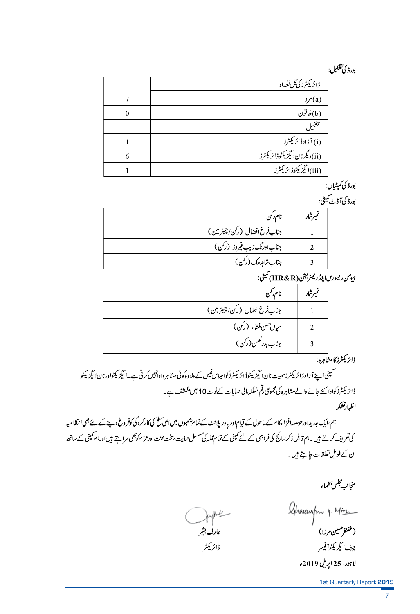## يورڈ کی تشکیل:

|   | ڈائریکٹرز کیکل تعداد                                     |
|---|----------------------------------------------------------|
|   | $\mathcal{P}(a)$                                         |
| 0 | (b)خاتون                                                 |
|   | تشكيل                                                    |
|   | (i) آزادڈائریکٹرز                                        |
| 6 | (ii)دىگرنانا ئېزىك <sup>ى</sup> ۋڈائرىكى <sup>ت</sup> رز |
|   | (iii)ايڳزيکڻوڈائريکٹرز                                   |

بورڈ کی کمیٹیاں:

بور ڈ کی آڈیٹ کمیٹی:

| نام رکن                      | تميرشار |
|------------------------------|---------|
| جناب فرخ افضال (رکن/چیئرمین) |         |
| جناباورنگ زیب فیروز (رکن)    |         |
| جناب شامدملک (رکن)           |         |
|                              |         |

ہومن ریسورس اینڈ ریمنریشن (HR&R) کمیٹی:

| نام رکن                               | نمبرشار |
|---------------------------------------|---------|
| جناب فرخ افضال (رکن/چیئرمین)          |         |
| ميان حسن منشاء (رکن)                  |         |
| جناب <i>بدراک<sup>ھی</sup>ن</i> (رکن) |         |

.<br>ڈائریکٹرز کامشاہرہ:

۔<br>سمپنی اپنے آزادڈائریکٹرزسمیت نان ایگزیکٹوڈائریکٹرزکوا جلاس فیس کےعلاوہ کوئی مشاہرہ ادانہیں کرتی ہے۔ایگزیکٹواورنان ایگزیکٹو ڈائریکٹرزکوادا کئے جانے والے مشاہرہ کی مجموعی رقم منسلکہ مالی حسابات کےنوٹ10 میں منکشف ہے۔ اظهارتشكر

ہم،ایک جدیداورحوصلہافزاءکام کے ماحول کے قیام اور پاور پلانٹ کےتمام شعبوں میں اعلیٰ کلح کی کارکر دگی کوفر وغ دینے کے لئے بھی انتظامیہ کی تعریف کرتے ہیں۔ہم قابل ذکر بنانج کی فراہمی کے لئے کمینی کے تمام عملہ کی مسلس حمایت ہخت محنت اورعز م کوجمی سراہتے ہیں اورہم کمینی کے ساتھ ان کےطویل تعلقات حاجتے ہیں۔

منجانب مجلس نظماء

Ahoneugh y. Mire (غفنفر<sup>حس</sup>ین مرزا) چيف ايگزيکڻوآفيسر لاہور: 25 اپریل 2019ء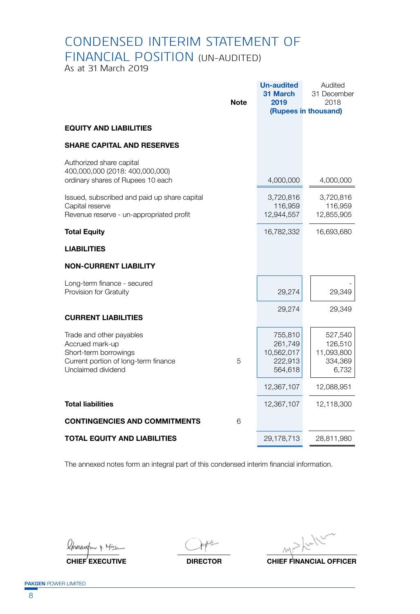## CONDENSED INTERIM STATEMENT OF FINANCIAL POSITION (UN-AUDITED)

As at 31 March 2019

|                                                                                                                                    |             | <b>Un-audited</b><br>31 March                          | Audited<br>31 December                               |
|------------------------------------------------------------------------------------------------------------------------------------|-------------|--------------------------------------------------------|------------------------------------------------------|
|                                                                                                                                    | <b>Note</b> | 2019                                                   | 2018<br>(Rupees in thousand)                         |
| <b>EQUITY AND LIABILITIES</b>                                                                                                      |             |                                                        |                                                      |
| <b>SHARE CAPITAL AND RESERVES</b>                                                                                                  |             |                                                        |                                                      |
| Authorized share capital<br>400,000,000 (2018: 400,000,000)<br>ordinary shares of Rupees 10 each                                   |             | 4,000,000                                              | 4,000,000                                            |
| Issued, subscribed and paid up share capital<br>Capital reserve<br>Revenue reserve - un-appropriated profit                        |             | 3,720,816<br>116,959<br>12,944,557                     | 3,720,816<br>116,959<br>12,855,905                   |
| <b>Total Equity</b>                                                                                                                |             | 16,782,332                                             | 16,693,680                                           |
| <b>LIABILITIES</b>                                                                                                                 |             |                                                        |                                                      |
| <b>NON-CURRENT LIABILITY</b>                                                                                                       |             |                                                        |                                                      |
| Long-term finance - secured<br>Provision for Gratuity                                                                              |             | 29,274                                                 | 29,349                                               |
| <b>CURRENT LIABILITIES</b>                                                                                                         |             | 29,274                                                 | 29,349                                               |
| Trade and other payables<br>Accrued mark-up<br>Short-term borrowings<br>Current portion of long-term finance<br>Unclaimed dividend | 5           | 755,810<br>261,749<br>10,562,017<br>222,913<br>564,618 | 527,540<br>126,510<br>11,093,800<br>334,369<br>6,732 |
|                                                                                                                                    |             | 12,367,107                                             | 12,088,951                                           |
| <b>Total liabilities</b>                                                                                                           |             | 12,367,107                                             | 12,118,300                                           |
| <b>CONTINGENCIES AND COMMITMENTS</b>                                                                                               | 6           |                                                        |                                                      |
| <b>TOTAL EQUITY AND LIABILITIES</b>                                                                                                |             | 29,178,713                                             | 28,811,980                                           |

The annexed notes form an integral part of this condensed interim financial information.

Charcuston 4. Mirci

 $M_{\text{max}}$ 

**CHIEF EXECUTIVE DIRECTOR CHIEF FINANCIAL OFFICER**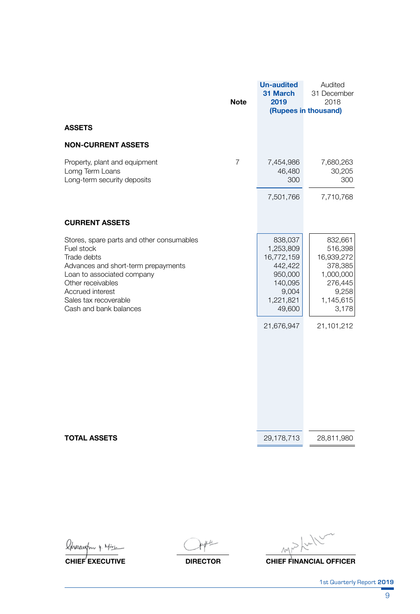|                                                                                                                                                                                                                                         | <b>Note</b> | <b>Un-audited</b><br>31 March<br>2019                                                                             | Audited<br>31 December<br>2018<br>(Rupees in thousand)                                                           |
|-----------------------------------------------------------------------------------------------------------------------------------------------------------------------------------------------------------------------------------------|-------------|-------------------------------------------------------------------------------------------------------------------|------------------------------------------------------------------------------------------------------------------|
| <b>ASSETS</b>                                                                                                                                                                                                                           |             |                                                                                                                   |                                                                                                                  |
| <b>NON-CURRENT ASSETS</b>                                                                                                                                                                                                               |             |                                                                                                                   |                                                                                                                  |
| Property, plant and equipment<br>Lomg Term Loans<br>Long-term security deposits                                                                                                                                                         | 7           | 7,454,986<br>46,480<br>300                                                                                        | 7,680,263<br>30,205<br>300                                                                                       |
|                                                                                                                                                                                                                                         |             | 7,501,766                                                                                                         | 7,710,768                                                                                                        |
| <b>CURRENT ASSETS</b>                                                                                                                                                                                                                   |             |                                                                                                                   |                                                                                                                  |
| Stores, spare parts and other consumables<br>Fuel stock<br>Trade debts<br>Advances and short-term prepayments<br>Loan to associated company<br>Other receivables<br>Accrued interest<br>Sales tax recoverable<br>Cash and bank balances |             | 838,037<br>1,253,809<br>16,772,159<br>442,422<br>950,000<br>140,095<br>9,004<br>1,221,821<br>49,600<br>21,676,947 | 832,661<br>516,398<br>16,939,272<br>378,385<br>1,000,000<br>276,445<br>9,258<br>1,145,615<br>3,178<br>21,101,212 |
| <b>TOTAL ASSETS</b>                                                                                                                                                                                                                     |             | 29,178,713                                                                                                        | 28,811,980                                                                                                       |

Ahonewsfro y. Mirc

神 (

 $MN$ 

**CHIEF EXECUTIVE DIRECTOR CHIEF FINANCIAL OFFICER**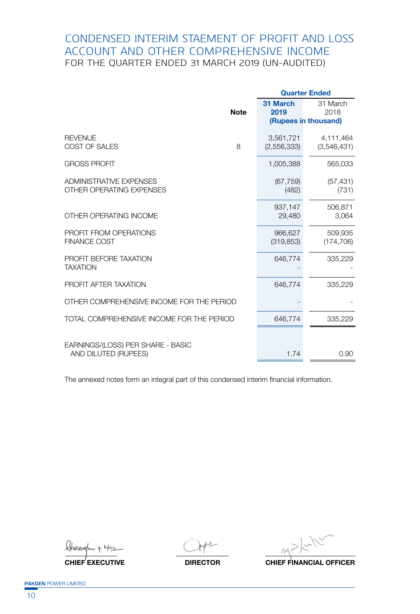### CONDENSED INTERIM STAEMENT OF PROFIT AND LOSS ACCOUNT AND OTHER COMPREHENSIVE INCOME FOR THE QUARTER ENDED 31 MARCH 2019 (UN-AUDITED)

|                                                            |             | <b>Quarter Ended</b>                     |                          |
|------------------------------------------------------------|-------------|------------------------------------------|--------------------------|
|                                                            | <b>Note</b> | 31 March<br>2019<br>(Rupees in thousand) | 31 March<br>2018         |
|                                                            |             |                                          |                          |
| <b>REVENUE</b><br>COST OF SALES                            | 8           | 3,561,721<br>(2,556,333)                 | 4,111,464<br>(3,546,431) |
| <b>GROSS PROFIT</b>                                        |             | 1,005,388                                | 565,033                  |
| <b>ADMINISTRATIVE EXPENSES</b><br>OTHER OPERATING EXPENSES |             | (67, 759)<br>(482)                       | (57, 431)<br>(731)       |
| OTHER OPERATING INCOME                                     |             | 937,147<br>29,480                        | 506,871<br>3,064         |
| PROFIT FROM OPERATIONS<br><b>FINANCE COST</b>              |             | 966,627<br>(319, 853)                    | 509,935<br>(174, 706)    |
| PROFIT BEFORE TAXATION<br><b>TAXATION</b>                  |             | 646,774                                  | 335,229                  |
| PROFIT AFTER TAXATION                                      |             | 646,774                                  | 335,229                  |
| OTHER COMPREHENSIVE INCOME FOR THE PERIOD                  |             |                                          |                          |
| TOTAL COMPREHENSIVE INCOME FOR THE PERIOD                  |             | 646,774                                  | 335,229                  |
| EARNINGS/(LOSS) PER SHARE - BASIC<br>AND DILUTED (RUPEES)  |             | 1.74                                     | 0.90                     |

The annexed notes form an integral part of this condensed interim financial information.

Khonaustry 4. Mirci

 $M<sub>o</sub>$ 

**CHIEF EXECUTIVE DIRECTOR CHIEF FINANCIAL OFFICER**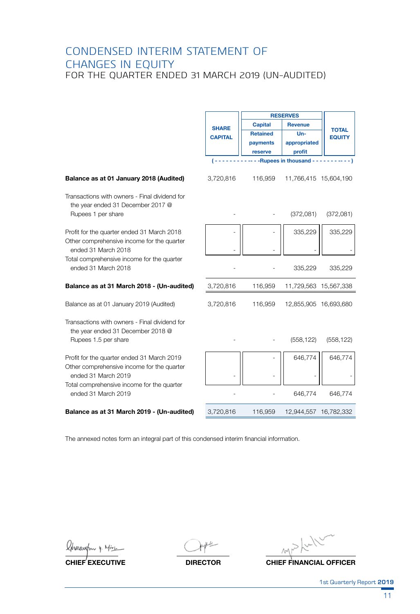### CONDENSED INTERIM STATEMENT OF CHANGES IN EQUITY FOR THE QUARTER ENDED 31 MARCH 2019 (UN-AUDITED)

|                                                                                    |                | <b>RESERVES</b> |                               |               |  |
|------------------------------------------------------------------------------------|----------------|-----------------|-------------------------------|---------------|--|
|                                                                                    |                | <b>Capital</b>  | Revenue                       |               |  |
|                                                                                    | <b>SHARE</b>   | <b>Retained</b> | $Un-$                         | <b>TOTAL</b>  |  |
|                                                                                    | <b>CAPITAL</b> | payments        | appropriated                  | <b>EQUITY</b> |  |
|                                                                                    |                | reserve         | profit                        |               |  |
|                                                                                    | ( - - -        |                 | -- Rupees in thousand ------- |               |  |
|                                                                                    |                |                 |                               |               |  |
| Balance as at 01 January 2018 (Audited)                                            | 3,720,816      | 116,959         | 11,766,415 15,604,190         |               |  |
| Transactions with owners - Final dividend for<br>the year ended 31 December 2017 @ |                |                 |                               |               |  |
| Rupees 1 per share                                                                 |                |                 | (372,081)                     | (372,081)     |  |
| Profit for the quarter ended 31 March 2018                                         |                |                 | 335,229                       | 335,229       |  |
| Other comprehensive income for the quarter<br>ended 31 March 2018                  |                |                 |                               |               |  |
| Total comprehensive income for the quarter<br>ended 31 March 2018                  |                |                 | 335,229                       | 335,229       |  |
| Balance as at 31 March 2018 - (Un-audited)                                         | 3,720,816      | 116,959         | 11,729,563 15,567,338         |               |  |
| Balance as at 01 January 2019 (Audited)                                            | 3,720,816      | 116,959         | 12,855,905 16,693,680         |               |  |
| Transactions with owners - Final dividend for<br>the year ended 31 December 2018 @ |                |                 |                               |               |  |
| Rupees 1.5 per share                                                               |                |                 | (558, 122)                    | (558, 122)    |  |
| Profit for the quarter ended 31 March 2019                                         |                |                 | 646,774                       | 646,774       |  |
| Other comprehensive income for the quarter<br>ended 31 March 2019                  |                |                 |                               |               |  |
| Total comprehensive income for the quarter<br>ended 31 March 2019                  |                |                 | 646,774                       | 646,774       |  |
| Balance as at 31 March 2019 - (Un-audited)                                         | 3,720,816      | 116,959         | 12,944,557 16,782,332         |               |  |
|                                                                                    |                |                 |                               |               |  |

The annexed notes form an integral part of this condensed interim financial information.

Kharcustny 4. Mirc

**CHIEF EXECUTIVE DIRECTOR CHIEF FINANCIAL OFFICER**

1st Quarterly Report **2019**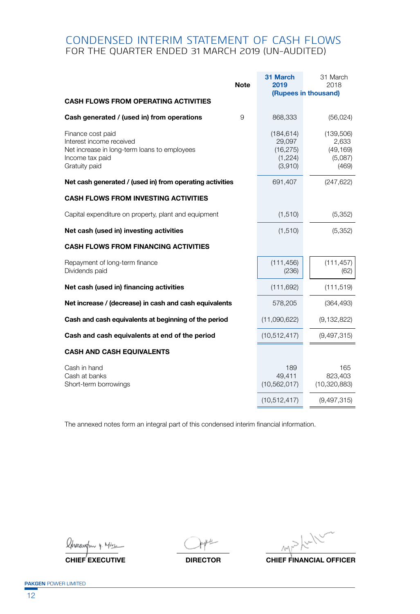### CONDENSED INTERIM STATEMENT OF CASH FLOWS FOR THE QUARTER ENDED 31 MARCH 2019 (UN-AUDITED)

| <b>Note</b>                                                                                                                       | 31 March<br>2019                                        | 31 March<br>2018<br>(Rupees in thousand)            |
|-----------------------------------------------------------------------------------------------------------------------------------|---------------------------------------------------------|-----------------------------------------------------|
| <b>CASH FLOWS FROM OPERATING ACTIVITIES</b>                                                                                       |                                                         |                                                     |
| Cash generated / (used in) from operations<br>9                                                                                   | 868,333                                                 | (56, 024)                                           |
| Finance cost paid<br>Interest income received<br>Net increase in long-term loans to employees<br>Income tax paid<br>Gratuity paid | (184, 614)<br>29,097<br>(16, 275)<br>(1,224)<br>(3,910) | (139,506)<br>2,633<br>(49, 169)<br>(5,087)<br>(469) |
| Net cash generated / (used in) from operating activities                                                                          | 691,407                                                 | (247, 622)                                          |
| <b>CASH FLOWS FROM INVESTING ACTIVITIES</b>                                                                                       |                                                         |                                                     |
| Capital expenditure on property, plant and equipment                                                                              | (1, 510)                                                | (5,352)                                             |
| Net cash (used in) investing activities                                                                                           | (1, 510)                                                | (5,352)                                             |
| <b>CASH FLOWS FROM FINANCING ACTIVITIES</b>                                                                                       |                                                         |                                                     |
| Repayment of long-term finance<br>Dividends paid                                                                                  | (111, 456)<br>(236)                                     | (111, 457)<br>(62)                                  |
| Net cash (used in) financing activities                                                                                           | (111, 692)                                              | (111, 519)                                          |
| Net increase / (decrease) in cash and cash equivalents                                                                            | 578,205                                                 | (364, 493)                                          |
| Cash and cash equivalents at beginning of the period                                                                              | (11,090,622)                                            | (9, 132, 822)                                       |
| Cash and cash equivalents at end of the period                                                                                    | (10, 512, 417)                                          | (9,497,315)                                         |
| <b>CASH AND CASH EQUIVALENTS</b>                                                                                                  |                                                         |                                                     |
| Cash in hand<br>Cash at banks<br>Short-term borrowings                                                                            | 189<br>49,411<br>(10, 562, 017)                         | 165<br>823,403<br>(10, 320, 883)                    |
|                                                                                                                                   | (10, 512, 417)                                          | (9,497,315)                                         |

The annexed notes form an integral part of this condensed interim financial information.

hanust

 $\mathcal{M}$ 

**CHIEF EXECUTIVE DIRECTOR CHIEF FINANCIAL OFFICER**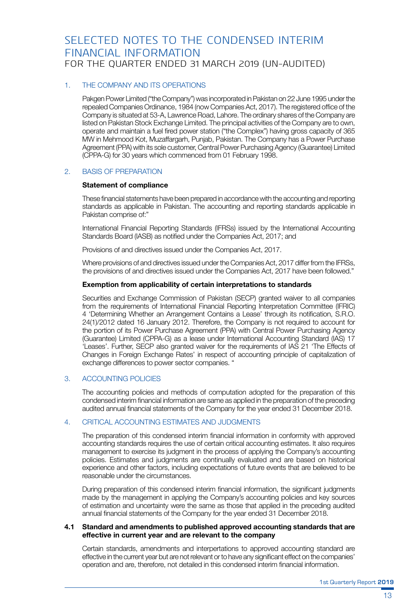### SELECTED NOTES TO THE CONDENSED INTERIM FINANCIAL INFORMATION FOR THE QUARTER ENDED 31 MARCH 2019 (UN-AUDITED)

#### 1. THE COMPANY AND ITS OPERATIONS

Pakgen Power Limited ("the Company") was incorporated in Pakistan on 22 June 1995 under the repealed Companies Ordinance, 1984 (now Companies Act, 2017). The registered office of the Company is situated at 53-A, Lawrence Road, Lahore. The ordinary shares of the Company are listed on Pakistan Stock Exchange Limited. The principal activities of the Company are to own, operate and maintain a fuel fired power station ("the Complex") having gross capacity of 365 MW in Mehmood Kot, Muzaffargarh, Punjab, Pakistan. The Company has a Power Purchase Agreement (PPA) with its sole customer, Central Power Purchasing Agency (Guarantee) Limited (CPPA-G) for 30 years which commenced from 01 February 1998.

#### 2. BASIS OF PREPARATION

#### **Statement of compliance**

 These financial statements have been prepared in accordance with the accounting and reporting standards as applicable in Pakistan. The accounting and reporting standards applicable in Pakistan comprise of:"

 International Financial Reporting Standards (IFRSs) issued by the International Accounting Standards Board (IASB) as notified under the Companies Act, 2017; and

 Provisions of and directives issued under the Companies Act, 2017.

 Where provisions of and directives issued under the Companies Act, 2017 differ from the IFRSs, the provisions of and directives issued under the Companies Act, 2017 have been followed."

#### **Exemption from applicability of certain interpretations to standards**

 Securities and Exchange Commission of Pakistan (SECP) granted waiver to all companies from the requirements of International Financial Reporting Interpretation Committee (IFRIC) 4 'Determining Whether an Arrangement Contains a Lease' through its notification, S.R.O. 24(1)/2012 dated 16 January 2012. Therefore, the Company is not required to account for the portion of its Power Purchase Agreement (PPA) with Central Power Purchasing Agency (Guarantee) Limited (CPPA-G) as a lease under International Accounting Standard (IAS) 17 'Leases'. Further, SECP also granted waiver for the requirements of IAS 21 'The Effects of Changes in Foreign Exchange Rates' in respect of accounting principle of capitalization of exchange differences to power sector companies. "

#### 3. ACCOUNTING POLICIES

 The accounting policies and methods of computation adopted for the preparation of this condensed interim financial information are same as applied in the preparation of the preceding audited annual financial statements of the Company for the year ended 31 December 2018.

#### 4. CRITICAL ACCOUNTING ESTIMATES AND JUDGMENTS

 The preparation of this condensed interim financial information in conformity with approved accounting standards requires the use of certain critical accounting estimates. It also requires management to exercise its judgment in the process of applying the Company's accounting policies. Estimates and judgments are continually evaluated and are based on historical experience and other factors, including expectations of future events that are believed to be reasonable under the circumstances.

 During preparation of this condensed interim financial information, the significant judgments made by the management in applying the Company's accounting policies and key sources of estimation and uncertainty were the same as those that applied in the preceding audited annual financial statements of the Company for the year ended 31 December 2018.

#### **4.1 Standard and amendments to published approved accounting standards that are effective in current year and are relevant to the company**

 Certain standards, amendments and interpertations to approved accounting standard are effective in the current year but are notrelevant orto have any significant effect on the companies' operation and are, therefore, not detailed in this condensed interim financial information.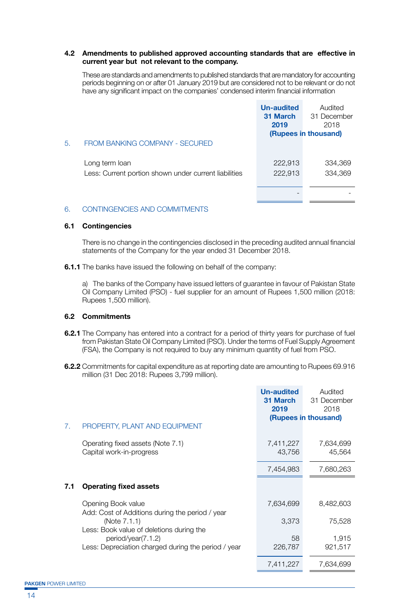#### **4.2 Amendments to published approved accounting standards that are effective in current year but not relevant to the company.**

 These are standards and amendments to published standards that are mandatory for accounting periods beginning on or after 01 January 2019 but are considered not to be relevant or do not have any significant impact on the companies' condensed interim financial information

|    |                                                                         | <b>Un-audited</b><br>31 March<br>2019 | Audited<br>31 December<br>2018<br>(Rupees in thousand) |
|----|-------------------------------------------------------------------------|---------------------------------------|--------------------------------------------------------|
| 5. | FROM BANKING COMPANY - SECURED                                          |                                       |                                                        |
|    | Long term loan<br>Less: Current portion shown under current liabilities | 222,913<br>222,913                    | 334,369<br>334,369                                     |
|    |                                                                         |                                       |                                                        |

#### 6. CONTINGENCIES AND COMMITMENTS

#### **6.1 Contingencies**

 There is no change in the contingencies disclosed in the preceding audited annual financial statements of the Company for the year ended 31 December 2018.

**6.1.1** The banks have issued the following on behalf of the company:

 a) The banks of the Company have issued letters of guarantee in favour of Pakistan State Oil Company Limited (PSO) - fuel supplier for an amount of Rupees 1,500 million (2018: Rupees 1,500 million).

#### **6.2 Commitments**

- **6.2.1** The Company has entered into a contract for a period of thirty years for purchase of fuel from Pakistan State Oil Company Limited (PSO). Under the terms of Fuel Supply Agreement (FSA), the Company is not required to buy any minimum quantity of fuel from PSO.
- **6.2.2** Commitments for capital expenditure as at reporting date are amounting to Rupees 69.916 million (31 Dec 2018: Rupees 3,799 million).

|     |                                                                                                             | <b>Un-audited</b><br>31 March<br>2019 | Audited<br>31 December<br>2018<br>(Rupees in thousand) |
|-----|-------------------------------------------------------------------------------------------------------------|---------------------------------------|--------------------------------------------------------|
| 7.  | PROPERTY, PLANT AND EQUIPMENT                                                                               |                                       |                                                        |
|     | Operating fixed assets (Note 7.1)<br>Capital work-in-progress                                               | 7,411,227<br>43,756                   | 7,634,699<br>45,564                                    |
|     |                                                                                                             | 7,454,983                             | 7,680,263                                              |
| 7.1 | <b>Operating fixed assets</b>                                                                               |                                       |                                                        |
|     | Opening Book value                                                                                          | 7,634,699                             | 8,482,603                                              |
|     | Add: Cost of Additions during the period / year<br>(Note 7.1.1)<br>Less: Book value of deletions during the | 3,373                                 | 75,528                                                 |
|     | period/year(7.1.2)<br>Less: Depreciation charged during the period / year                                   | 58<br>226,787                         | 1,915<br>921,517                                       |
|     |                                                                                                             | 7,411,227                             | 7,634,699                                              |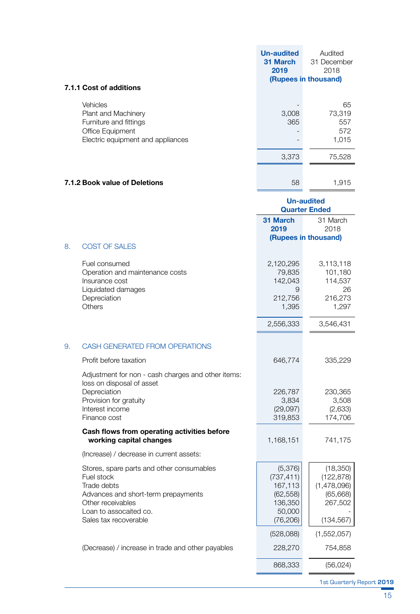|                                                                                                                    | <b>Un-audited</b><br>31 March<br>2019 | Audited<br>31 December<br>2018<br>(Rupees in thousand) |
|--------------------------------------------------------------------------------------------------------------------|---------------------------------------|--------------------------------------------------------|
| 7.1.1 Cost of additions                                                                                            |                                       |                                                        |
| Vehicles<br>Plant and Machinery<br>Furniture and fittings<br>Office Equipment<br>Electric equipment and appliances | 3,008<br>365                          | 65<br>73,319<br>557<br>572<br>1,015                    |
|                                                                                                                    | 3,373                                 | 75,528                                                 |
| 7.1.2 Book value of Deletions                                                                                      | 58                                    | 1,915                                                  |

|    |                                                                                                                                                                                       | Un-audited<br><b>Quarter Ended</b>                                              |                                                                             |
|----|---------------------------------------------------------------------------------------------------------------------------------------------------------------------------------------|---------------------------------------------------------------------------------|-----------------------------------------------------------------------------|
|    |                                                                                                                                                                                       | 31 March<br>2019                                                                | 31 March<br>2018                                                            |
|    |                                                                                                                                                                                       | (Rupees in thousand)                                                            |                                                                             |
| 8. | <b>COST OF SALES</b>                                                                                                                                                                  |                                                                                 |                                                                             |
|    | Fuel consumed<br>Operation and maintenance costs<br>Insurance cost<br>Liquidated damages<br>Depreciation<br>Others                                                                    | 2,120,295<br>79,835<br>142,043<br>9<br>212,756<br>1,395                         | 3,113,118<br>101,180<br>114,537<br>26<br>216,273<br>1,297                   |
|    |                                                                                                                                                                                       | 2,556,333                                                                       | 3,546,431                                                                   |
| 9. | CASH GENERATED FROM OPERATIONS                                                                                                                                                        |                                                                                 |                                                                             |
|    | Profit before taxation                                                                                                                                                                | 646,774                                                                         | 335,229                                                                     |
|    | Adjustment for non - cash charges and other items:<br>loss on disposal of asset<br>Depreciation<br>Provision for gratuity<br>Interest income<br>Finance cost                          | 226,787<br>3,834<br>(29,097)<br>319,853                                         | 230,365<br>3,508<br>(2,633)<br>174,706                                      |
|    | Cash flows from operating activities before<br>working capital changes                                                                                                                | 1,168,151                                                                       | 741,175                                                                     |
|    | (Increase) / decrease in current assets:                                                                                                                                              |                                                                                 |                                                                             |
|    | Stores, spare parts and other consumables<br>Fuel stock<br>Trade debts<br>Advances and short-term prepayments<br>Other receivables<br>Loan to assocaited co.<br>Sales tax recoverable | (5,376)<br>(737, 411)<br>167,113<br>(62, 558)<br>136,350<br>50,000<br>(76, 206) | (18,350)<br>(122, 878)<br>(1,478,096)<br>(65, 668)<br>267,502<br>(134, 567) |
|    |                                                                                                                                                                                       | (528,088)                                                                       | (1,552,057)                                                                 |
|    | (Decrease) / increase in trade and other payables                                                                                                                                     | 228,270                                                                         | 754,858                                                                     |
|    |                                                                                                                                                                                       | 868,333                                                                         | (56, 024)                                                                   |

1st Quarterly Report **2019**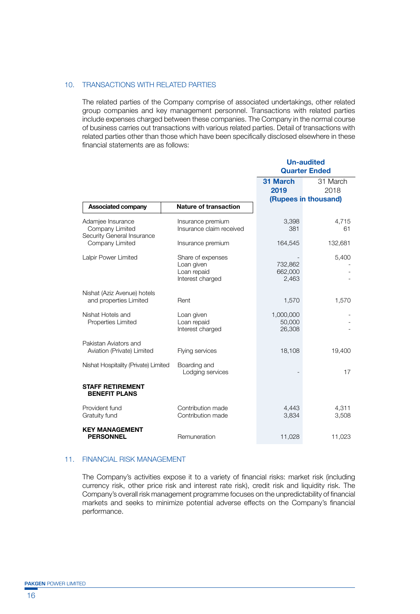#### 10. TRANSACTIONS WITH RELATED PARTIES

 The related parties of the Company comprise of associated undertakings, other related group companies and key management personnel. Transactions with related parties include expenses charged between these companies. The Company in the normal course of business carries out transactions with various related parties. Detail of transactions with related parties other than those which have been specifically disclosed elsewhere in these financial statements are as follows:

|                                                                    |                                                                    | Un-audited<br><b>Quarter Ended</b> |                                          |
|--------------------------------------------------------------------|--------------------------------------------------------------------|------------------------------------|------------------------------------------|
|                                                                    |                                                                    | 31 March<br>2019                   | 31 March<br>2018<br>(Rupees in thousand) |
| Associated company                                                 | <b>Nature of transaction</b>                                       |                                    |                                          |
| Adamjee Insurance<br>Company Limited<br>Security General Insurance | Insurance premium<br>Insurance claim received                      | 3,398<br>381                       | 4,715<br>61                              |
| Company Limited                                                    | Insurance premium                                                  | 164,545                            | 132,681                                  |
| Lalpir Power Limited                                               | Share of expenses<br>Loan given<br>Loan repaid<br>Interest charged | 732,862<br>662,000<br>2,463        | 5,400                                    |
| Nishat (Aziz Avenue) hotels<br>and properties Limited              | Rent                                                               | 1,570                              | 1,570                                    |
| Nishat Hotels and<br>Properties Limited                            | Loan given<br>Loan repaid<br>Interest charged                      | 1,000,000<br>50,000<br>26,308      |                                          |
| Pakistan Aviators and<br>Aviation (Private) Limited                | Flying services                                                    | 18,108                             | 19,400                                   |
| Nishat Hospitality (Private) Limited                               | Boarding and<br>Lodging services                                   |                                    | 17                                       |
| <b>STAFF RETIREMENT</b><br><b>BENEFIT PLANS</b>                    |                                                                    |                                    |                                          |
| Provident fund<br>Gratuity fund                                    | Contribution made<br>Contribution made                             | 4,443<br>3,834                     | 4,311<br>3,508                           |
| <b>KEY MANAGEMENT</b><br><b>PERSONNEL</b>                          | Remuneration                                                       | 11,028                             | 11,023                                   |

#### 11. FINANCIAL RISK MANAGEMENT

 The Company's activities expose it to a variety of financial risks: market risk (including currency risk, other price risk and interest rate risk), credit risk and liquidity risk. The Company's overall risk management programme focuses on the unpredictability of financial markets and seeks to minimize potential adverse effects on the Company's financial performance.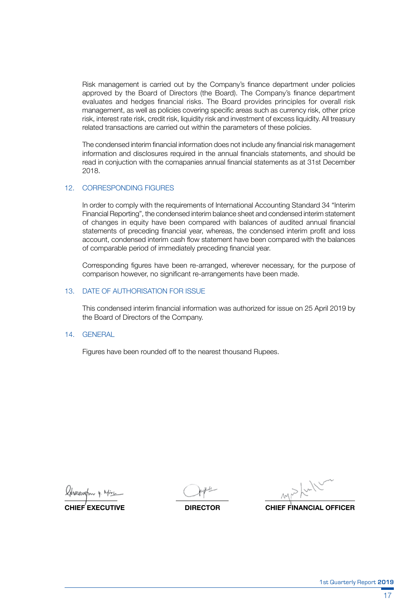Risk management is carried out by the Company's finance department under policies approved by the Board of Directors (the Board). The Company's finance department evaluates and hedges financial risks. The Board provides principles for overall risk management, as well as policies covering specific areas such as currency risk, other price risk, interest rate risk, credit risk, liquidity risk and investment of excess liquidity. All treasury related transactions are carried out within the parameters of these policies.

 The condensed interim financial information does not include any financial risk management information and disclosures required in the annual financials statements, and should be read in conjuction with the comapanies annual financial statements as at 31st December 2018.

#### 12. CORRESPONDING FIGURES

 In order to comply with the requirements of International Accounting Standard 34 "Interim Financial Reporting", the condensed interim balance sheet and condensed interim statement of changes in equity have been compared with balances of audited annual financial statements of preceding financial year, whereas, the condensed interim profit and loss account, condensed interim cash flow statement have been compared with the balances of comparable period of immediately preceding financial year.

 Corresponding figures have been re-arranged, wherever necessary, for the purpose of comparison however, no significant re-arrangements have been made.

#### 13. DATE OF AUTHORISATION FOR ISSUE

 This condensed interim financial information was authorized for issue on 25 April 2019 by the Board of Directors of the Company.

#### 14. GENERAL

 Figures have been rounded off to the nearest thousand Rupees.

**CHIEF EXECUTIVE DIRECTOR CHIEF FINANCIAL OFFICER**